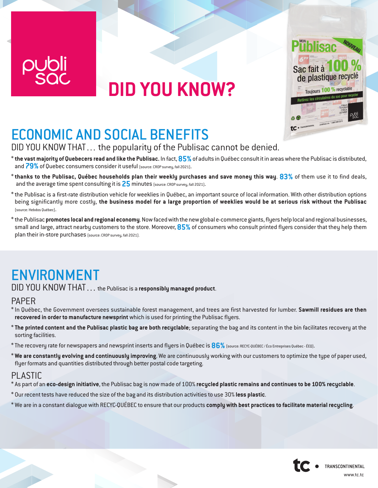

# **DID YOU KNOW?**



## ECONOMIC AND SOCIAL BENEFITS

DID YOU KNOW THAT… the popularity of the Publisac cannot be denied.

- \* **the vast majority of Quebecers read and like the Publisac.** In fact, **85%** of adults in Québec consult it in areas where the Publisac is distributed, and 79% of Quebec consumers consider it useful (source: CROP survey, fall 2021).
- \* **thanks to the Publisac, Québec households plan their weekly purchases and save money this way**. **83%** of them use it to find deals, and the average time spent consulting it is **25** minutes (source: CROP survey, fall 2021).
- \* the Publisac is a first-rate distribution vehicle for weeklies in Québec, an important source of local information. With other distribution options being significantly more costly, **the business model for a large proportion of weeklies would be at serious risk without the Publisac** (source: Hebdos Québec).
- \* the Publisac **promotes local and regional economy**. Now faced with the new global e-commerce giants, flyers help local and regional businesses, small and large, attract nearby customers to the store. Moreover, **85%** of consumers who consult printed flyers consider that they help them plan their in-store purchases (source: CROP survey, fall 2021).

## ENVIRONMENT

DID YOU KNOW THAT… the Publisac is a **responsibly managed product**.

#### PAPER

- \* In Québec, the Government oversees sustainable forest management, and trees are first harvested for lumber. **Sawmill residues are then recovered in order to manufacture newsprint** which is used for printing the Publisac flyers.
- \* **The printed content and the Publisac plastic bag are both recyclable**; separating the bag and its content in the bin facilitates recovery at the sorting facilities.
- \* The recovery rate for newspapers and newsprint inserts and flyers in Québec is **86%**(source: RECYC-QUÉBEC / Éco Entreprises Québec ÉEQ).
- \* **We are constantly evolving and continuously improving**. We are continuously working with our customers to optimize the type of paper used, flyer formats and quantities distributed through better postal code targeting.

#### PLASTIC

- \* As part of an **eco-design initiative**, the Publisac bag is now made of 100% **recycled plastic remains and continues to be 100% recyclable**.
- \* Our recent tests have reduced the size of the bag and its distribution activities to use 30% **less plastic**.
- \* We are in a constant dialogue with RECYC-QUÉBEC to ensure that our products **comply with best practices to facilitate material recycling**.